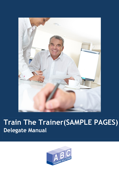

# **Train The Trainer(SAMPLE PAGES) Delegate Manual**

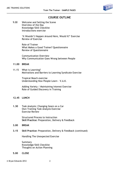

# **COURSE OUTLINE**

9.00 Welcome and Setting the Scene Overview of the Day Knowledge/Skill Checklist Introductions exercise

> 'It Wouldn't Happen Around Here, Would It?' Exercise Review of Exercise

Role of Trainer What Makes a Good Trainer? Questionnaire Review of Questionnaire

Communication Overview Why Communication Goes Wrong between People

#### **11.00 BREAK**

11.15 What is Learning? Motivations and Barriers to Learning Syndicate Exercise

> Tropical Beach exercise Understanding How People Learn – V.A.K.

Adding Variety / Maintaining Interest Exercise Role of Guided Discovery in Training

#### **12.45 LUNCH**

**1.30** Task Analysis: Changing Gears on a Car Own Training Task Analysis Exercise Exercise Review

> Structured Process to Instruction **Skill Practice:** Preparation, Delivery & Feedback

- **3.00 BREAK**
- **3.15 Skill Practice:** Preparation, Delivery & Feedback (continued)

Handling The Unexpected Exercise

Summary Knowledge/Skill Checklist Thoughts on Action Planning

**5.00 CLOSE**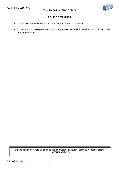

# **ROLE OF TRAINER**

- To impart new knowledge and skills in a professional manner
- To ensure that delegates are able to apply new-found skills to the standards required in a safe manner

"If people knew how hard I worked to get my mastery, it wouldn't seem so wonderful after all." **MICHELANGELO**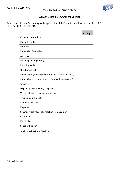

# **WHAT MAKES A GOOD TRAINER?**

Rate your colleague's training skills against the skills/ qualities below, on a scale of 1-6  $(1 = \text{Poor to } 6 = \text{Excellent})$ :

|                                                         | <b>Rating</b> |
|---------------------------------------------------------|---------------|
| <b>Communication skills</b>                             |               |
| Rapport building                                        |               |
| Patience                                                |               |
| Influential/Persuasive                                  |               |
| Analytical                                              |               |
| Planning and organising                                 |               |
| Listening skills                                        |               |
| Questioning skills                                      |               |
| Positiveness (a 'salesperson' for the training message) |               |
| Interesting voice (e.g. varied pitch, with enthusiasm)  |               |
| Creative                                                |               |
| Displaying positive body language                       |               |
| Technical subject matter knowledge                      |               |
| Training delivery skills                                |               |
| <b>Presentation skills</b>                              |               |
| Empathy                                                 |               |
| Sensitivity (to needs of / reaction from Learners)      |               |
| Confident                                               |               |
| Flexibility                                             |               |
| Sense of humour                                         |               |
| <b>Additional Skills / Qualities?</b>                   |               |
|                                                         |               |
|                                                         |               |
|                                                         |               |
|                                                         |               |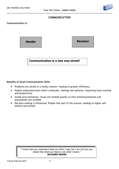

## **COMMUNICATION**

**Communication is:**

**Sender Receiver**

**Communication is a two way street!**

**Benefits of Good Communication Skills**

- Problems are solved in a timely manner- leading to greater efficiency
- People understand each other's attitudes, feelings and opinions, improving team working and productivity
- Avoids procrastination. Issues are tackled quickly so that misinterpretations and assumptions are avoided
- Decision-making is influenced. People feel part of the process, leading to higher selfesteem and morale

"I know that you understand what you think I said, but I am not sure you realize that what you heard is not what I meant." **RICHARD NIXON**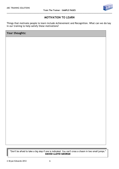**Your thoughts:**



# **MOTIVATION TO LEARN**

Things that motivate people to learn include Achievement and Recognition. What can we do/say in our training to help satisfy these motivations?

"Don't be afraid to take a big step if one is indicated. You can't cross a chasm in two small jumps." **DAVID LLOYD GEORGE**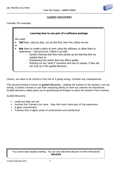

## **GUIDED DISCOVERY**

Consider this example:

| Learning how to use part of a software package                                                                                                                                                                                                                                                                                                                                                                 |  |
|----------------------------------------------------------------------------------------------------------------------------------------------------------------------------------------------------------------------------------------------------------------------------------------------------------------------------------------------------------------------------------------------------------------|--|
| We could:<br><b>Tell</b> them, step by step: you do this first, then this, follow me etc<br>$\bullet$                                                                                                                                                                                                                                                                                                          |  |
| or<br><b>Ask</b> them to create a piece of work using the software, to allow them to<br>$\bullet$<br>experiment $-$ trial and error. Follow it up with:<br>- Careful checking that they have picked up the learning that we<br>needed them to<br>Emphasising the points that may affect quality<br>Pointing out any 'what if' scenarios and how to resolve, if they did<br>not crop up in the quided discovery |  |

Clearly, we need to be careful of the risk of it going wrong. Consider any consequences.

This second method is known as **guided discovery** - leading the trainee to the answers, but not telling. It allows trainees to use their reasoning ability to work out answers for themselves. Guided discovery makes good use of questioning techniques to draw the answers from trainees.

Guided Discovery:

- Leads but does not tell
- Involves the Trainee a lot more they feel much more part of the experience
- It gains commitment
- Trainees feel a higher sense of achievement and satisfaction

"You cannot teach people anything. You can only help them discover it within themselves" **GALILEO**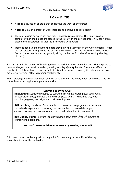

# **TASK ANALYSIS**

- A **job** is a collection of tasks that constitute the work of one person
- A **task** is a major element of work intended to achieve a specific result
- The relationship between job and task is analogous to a jigsaw. The jigsaw is only complete when the pieces are placed in the jigsaw, in the correct order. You can't put a piece down in isolation, without it interlocking with others
- Trainees need to understand the part they play (the task/job) in the whole process what the 'big picture' is e.g. what the organisation makes/does and where their contribution fits in. (Some people start a jigsaw by doing the border first therefore setting the 'big picture')

**Task analysis** is the process of breaking down the task into the **knowledge** and **skills** required to perform the job to a certain standard, stating any **Key Quality Points**. These may affect the quality of the job, or have risks attached. If it is not performed correctly it could mean we lose money; waste time; affect customer relations etc.

The knowledge is the factual input required to do the job: the what, when, where etc. The skill is the 'how' – putting knowledge into practice.

#### **Learning to Drive A Car.**

**Knowledge:** Sequence required to start the car; what a clutch pedal does; what an accelerator does; indicators and their purpose; gears – what they are, when you change gears, road signs and their meanings etc.

**Skill:** Applying the above. For example, you can only change gears in a car when you actually experience it – sensing the revs on the car necessitates a gear change; working the accelerator and clutch pedals together in harmony etc.

**Key Quality Points:** Beware you don't change down from  $5<sup>th</sup>$  to  $1<sup>st</sup>$ ; beware of crunching the gears etc.

#### **You can't learn to drive a car solely by reading a manual!**

A job description can be a good starting point for task analysis i.e. a list of the key accountabilities for the jobholder.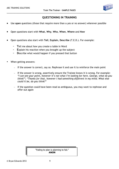

# **QUESTIONING IN TRAINING**

- Use **open** questions (those that require more than a yes or no answer) wherever possible
- Open questions start with **What**, **Why**, **Who**, **When**, **Where** and **How**
- Open questions also start with **Tell**, **Explain**, **Describe** (T.E.D.). For example:
	- **T**ell me about how you create a table in Word
	- **E**xplain his reaction when you brought up the subject
	- **D**escribe what would happen if you pressed that button
- When getting answers:
	- If the answer is correct, say so. Rephrase it and use it to reinforce the main point
	- If the answer is wrong, assertively ensure the Trainee knows it is wrong. For example: *"I can see your point, however it's not what I'm looking for here. George, what do you think?"; "Thanks for that, however I had something different in my mind. What else could it be, do you think?"*
	- $-I$  If the question could have been read as ambiguous, you may want to rephrase and offer out again

"Failing to plan is planning to fail." **ANON**